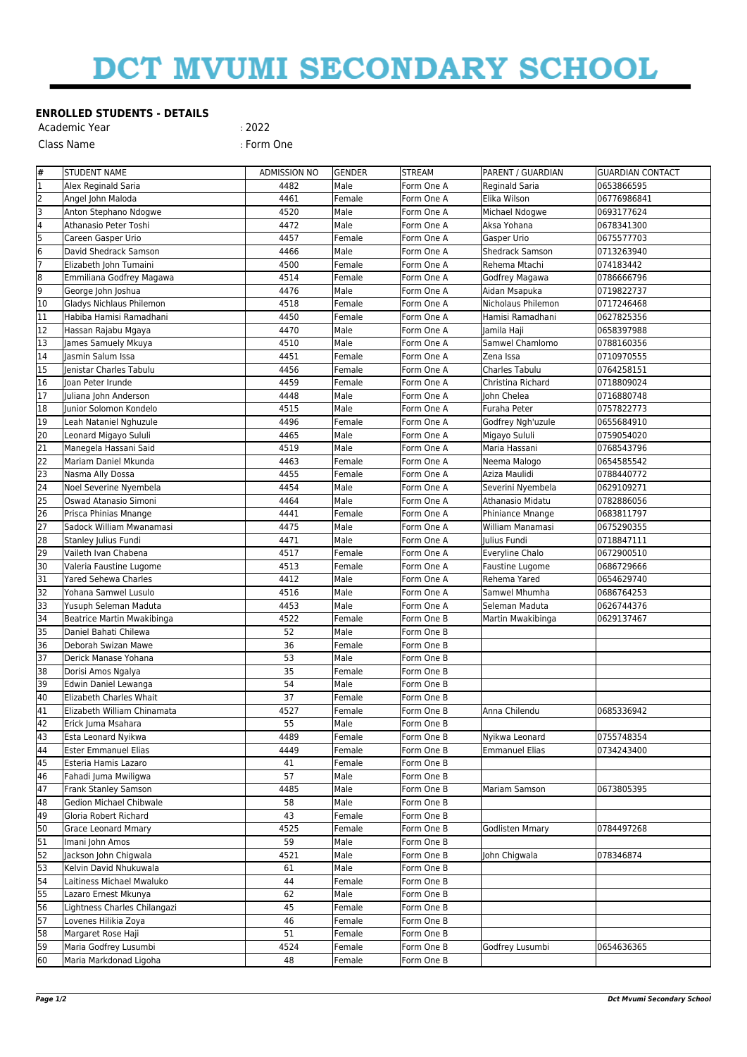## DCT MVUMI SECONDARY SCHOOL

## **ENROLLED STUDENTS - DETAILS**

| Academic Year | :2022      |
|---------------|------------|
| Class Name    | : Form One |

| #                       | <b>STUDENT NAME</b>                         | <b>ADMISSION NO</b> | <b>GENDER</b> | <b>STREAM</b> | PARENT / GUARDIAN      | <b>GUARDIAN CONTACT</b> |
|-------------------------|---------------------------------------------|---------------------|---------------|---------------|------------------------|-------------------------|
| 1                       | Alex Reginald Saria                         | 4482                | Male          | Form One A    | Reginald Saria         | 0653866595              |
| 2                       | Angel John Maloda                           | 4461                | Female        | Form One A    | Elika Wilson           | 06776986841             |
| 3                       | Anton Stephano Ndogwe                       | 4520                | Male          | Form One A    | Michael Ndogwe         | 0693177624              |
| $\overline{\mathbf{4}}$ | Athanasio Peter Toshi                       | 4472                | Male          | Form One A    | Aksa Yohana            | 0678341300              |
| 5                       | Careen Gasper Urio                          | 4457                | Female        | Form One A    | Gasper Urio            | 0675577703              |
| $6\overline{6}$         | David Shedrack Samson                       | 4466                | Male          | Form One A    | <b>Shedrack Samson</b> | 0713263940              |
| 7                       | Elizabeth John Tumaini                      | 4500                | Female        | Form One A    | Rehema Mtachi          | 074183442               |
| 8                       | Emmiliana Godfrey Magawa                    | 4514                | Female        | Form One A    | Godfrey Magawa         | 0786666796              |
| l9                      | George John Joshua                          | 4476                | Male          | Form One A    | Aidan Msapuka          | 0719822737              |
| 10                      | Gladys Nichlaus Philemon                    | 4518                | Female        | Form One A    | Nicholaus Philemon     | 0717246468              |
| 11                      | Habiba Hamisi Ramadhani                     | 4450                | Female        | Form One A    | Hamisi Ramadhani       | 0627825356              |
| 12                      | Hassan Rajabu Mgaya                         | 4470                | Male          | Form One A    | Jamila Haji            | 0658397988              |
| 13                      | James Samuely Mkuya                         | 4510                | Male          | Form One A    | Samwel Chamlomo        | 0788160356              |
| 14                      | Jasmin Salum Issa                           | 4451                | Female        | Form One A    | Zena Issa              | 0710970555              |
| 15                      | Jenistar Charles Tabulu                     | 4456                | Female        | Form One A    | Charles Tabulu         | 0764258151              |
| 16                      | Joan Peter Irunde                           | 4459                | Female        | Form One A    | Christina Richard      | 0718809024              |
| 17                      | Juliana John Anderson                       | 4448                | Male          | Form One A    | John Chelea            | 0716880748              |
| 18                      | Junior Solomon Kondelo                      | 4515                | Male          | Form One A    | Furaha Peter           | 0757822773              |
| 19                      | Leah Nataniel Nghuzule                      | 4496                | Female        | Form One A    | Godfrey Ngh'uzule      | 0655684910              |
| 20                      | Leonard Migayo Sululi                       | 4465                | Male          | Form One A    | Migayo Sululi          | 0759054020              |
| 21                      | Manegela Hassani Said                       | 4519                | Male          | Form One A    | Maria Hassani          | 0768543796              |
| 22                      | Mariam Daniel Mkunda                        | 4463                | Female        | Form One A    | Neema Malogo           | 0654585542              |
| 23                      | Nasma Ally Dossa                            | 4455                | Female        | Form One A    | Aziza Maulidi          | 0788440772              |
| 24                      | Noel Severine Nyembela                      | 4454                | Male          | Form One A    | Severini Nyembela      | 0629109271              |
| 25                      | Oswad Atanasio Simoni                       | 4464                | Male          | Form One A    | Athanasio Midatu       | 0782886056              |
| 26                      | Prisca Phinias Mnange                       | 4441                | Female        | Form One A    | Phiniance Mnange       | 0683811797              |
| 27                      | Sadock William Mwanamasi                    | 4475                | Male          | Form One A    | William Manamasi       | 0675290355              |
| 28                      | Stanley Julius Fundi                        | 4471                | Male          | Form One A    | Julius Fundi           | 0718847111              |
| 29                      | Vaileth Ivan Chabena                        | 4517                | Female        | Form One A    | Everyline Chalo        | 0672900510              |
| 30                      | Valeria Faustine Lugome                     | 4513                | Female        | Form One A    | Faustine Lugome        | 0686729666              |
| 31                      | Yared Sehewa Charles                        | 4412                | Male          | Form One A    | Rehema Yared           | 0654629740              |
| 32                      | Yohana Samwel Lusulo                        | 4516                | Male          | Form One A    | Samwel Mhumha          | 0686764253              |
| 33                      | Yusuph Seleman Maduta                       | 4453                | Male          | Form One A    | Seleman Maduta         | 0626744376              |
| 34                      | Beatrice Martin Mwakibinga                  | 4522                | Female        | Form One B    | Martin Mwakibinga      | 0629137467              |
| 35                      | Daniel Bahati Chilewa                       | 52                  | Male          | Form One B    |                        |                         |
| 36                      | Deborah Swizan Mawe                         | 36                  | Female        | Form One B    |                        |                         |
| 37                      | Derick Manase Yohana                        | 53                  | Male          | Form One B    |                        |                         |
| 38                      | Dorisi Amos Ngalya                          | 35                  | Female        | Form One B    |                        |                         |
| 39                      | Edwin Daniel Lewanga                        | 54                  | Male          | Form One B    |                        |                         |
| 40                      | Elizabeth Charles Whait                     | 37                  | Female        | Form One B    |                        |                         |
| 41                      | Elizabeth William Chinamata                 | 4527                | Female        | Form One B    | Anna Chilendu          | 0685336942              |
| 42                      | Erick Juma Msahara                          | 55                  | Male          | Form One B    |                        |                         |
| 43                      | Esta Leonard Nyikwa                         | 4489                | Female        | Form One B    | Nyikwa Leonard         | 0755748354              |
| 44                      | <b>Ester Emmanuel Elias</b>                 | 4449                | Female        | Form One B    | <b>Emmanuel Elias</b>  | 0734243400              |
| 45                      | Esteria Hamis Lazaro                        | 41                  | Female        | Form One B    |                        |                         |
| 46                      | Fahadi Juma Mwiligwa                        | 57                  | Male          | Form One B    |                        |                         |
| 47                      | Frank Stanley Samson                        | 4485                | Male          | Form One B    | Mariam Samson          | 0673805395              |
| 48                      | <b>Gedion Michael Chibwale</b>              | 58                  | Male          | Form One B    |                        |                         |
| 49                      | Gloria Robert Richard                       | 43                  | Female        | Form One B    |                        |                         |
| 50                      | Grace Leonard Mmary                         | 4525                | Female        | Form One B    | Godlisten Mmary        | 0784497268              |
| 51                      | Imani John Amos                             | 59                  | Male          | Form One B    |                        |                         |
| 52                      | Jackson John Chigwala                       | 4521                | Male          | Form One B    | John Chigwala          | 078346874               |
| $\overline{53}$         | Kelvin David Nhukuwala                      | 61                  | Male          | Form One B    |                        |                         |
| 54                      | Laitiness Michael Mwaluko                   | 44                  | Female        | Form One B    |                        |                         |
| 55                      | Lazaro Ernest Mkunya                        | 62                  | Male          | Form One B    |                        |                         |
| 56                      |                                             | 45                  |               |               |                        |                         |
| $\overline{57}$         | Lightness Charles Chilangazi                | 46                  | Female        | Form One B    |                        |                         |
| 58                      | Lovenes Hilikia Zoya                        | 51                  | Female        | Form One B    |                        |                         |
| 59                      | Margaret Rose Haji<br>Maria Godfrey Lusumbi |                     | Female        | Form One B    |                        |                         |
|                         |                                             | 4524                | Female        | Form One B    | Godfrey Lusumbi        | 0654636365              |
| 60                      | Maria Markdonad Ligoha                      | 48                  | Female        | Form One B    |                        |                         |